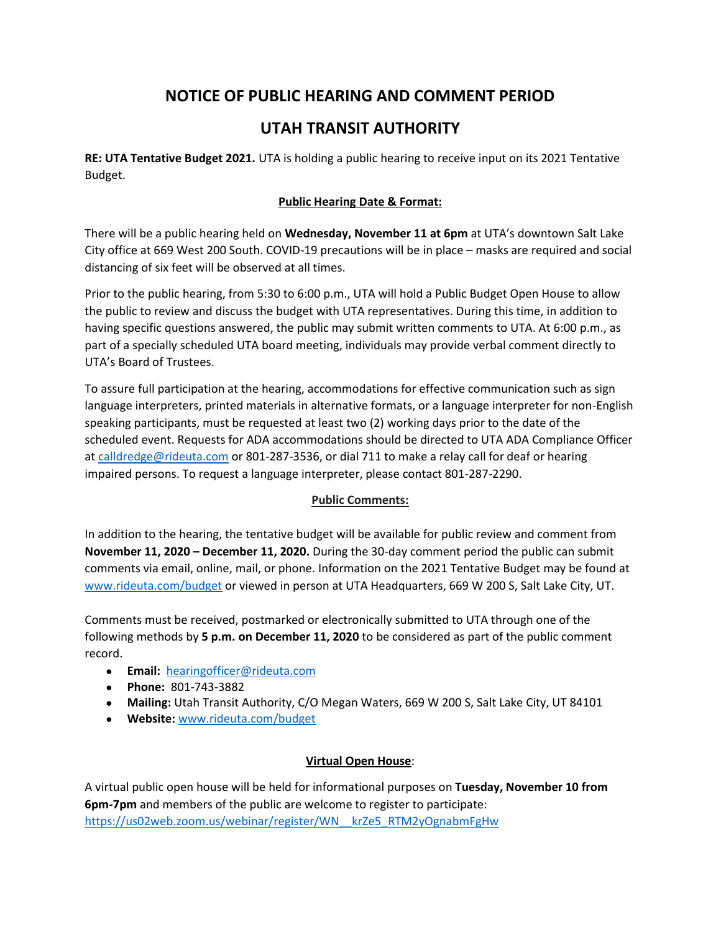# **NOTICE OF PUBLIC HEARING AND COMMENT PERIOD**

## **UTAH TRANSIT AUTHORITY**

**RE: UTA Tentative Budget 2021.** UTA is holding a public hearing to receive input on its 2021 Tentative Budget.

### **Public Hearing Date & Format:**

There will be a public hearing held on **Wednesday, November 11 at 6pm** at UTA's downtown Salt Lake City office at 669 West 200 South. COVID-19 precautions will be in place – masks are required and social distancing of six feet will be observed at all times.

Prior to the public hearing, from 5:30 to 6:00 p.m., UTA will hold a Public Budget Open House to allow the public to review and discuss the budget with UTA representatives. During this time, in addition to having specific questions answered, the public may submit written comments to UTA. At 6:00 p.m., as part of a specially scheduled UTA board meeting, individuals may provide verbal comment directly to UTA's Board of Trustees.

To assure full participation at the hearing, accommodations for effective communication such as sign language interpreters, printed materials in alternative formats, or a language interpreter for non-English speaking participants, must be requested at least two (2) working days prior to the date of the scheduled event. Requests for ADA accommodations should be directed to UTA ADA Compliance Officer a[t calldredge@rideuta.com](mailto:calldredge@rideuta.com) or 801-287-3536, or dial 711 to make a relay call for deaf or hearing impaired persons. To request a language interpreter, please contact 801-287-2290.

#### **Public Comments:**

In addition to the hearing, the tentative budget will be available for public review and comment from **November 11, 2020 – December 11, 2020.** During the 30-day comment period the public can submit comments via email, online, mail, or phone. Information on the 2021 Tentative Budget may be found at [www.rideuta.com/budget](http://www.rideuta.com/budget) or viewed in person at UTA Headquarters, 669 W 200 S, Salt Lake City, UT.

Comments must be received, postmarked or electronically submitted to UTA through one of the following methods by **5 p.m. on December 11, 2020** to be considered as part of the public comment record.

- **Email:** [hearingofficer@rideuta.com](mailto:hearingofficer@rideuta.com)
- **Phone:** 801-743-3882
- **Mailing:** Utah Transit Authority, C/O Megan Waters, 669 W 200 S, Salt Lake City, UT 84101
- **Website:** [www.rideuta.com/budget](http://www.rideuta.com/budget)

#### **Virtual Open House**:

A virtual public open house will be held for informational purposes on **Tuesday, November 10 from 6pm-7pm** and members of the public are welcome to register to participate: [https://us02web.zoom.us/webinar/register/WN\\_\\_krZe5\\_RTM2yOgnabmFgHw](https://us02web.zoom.us/webinar/register/WN__krZe5_RTM2yOgnabmFgHw)